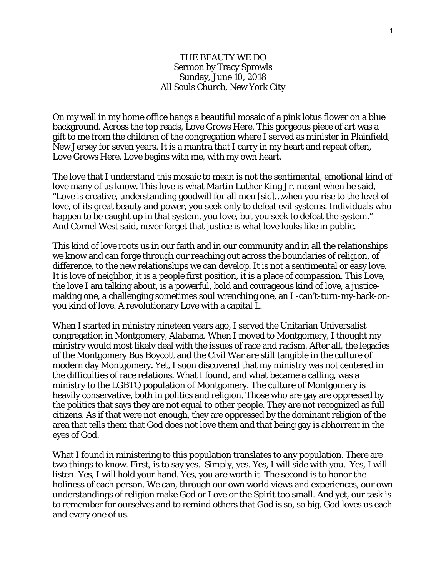## THE BEAUTY WE DO Sermon by Tracy Sprowls Sunday, June 10, 2018 All Souls Church, New York City

On my wall in my home office hangs a beautiful mosaic of a pink lotus flower on a blue background. Across the top reads, Love Grows Here. This gorgeous piece of art was a gift to me from the children of the congregation where I served as minister in Plainfield, New Jersey for seven years. It is a mantra that I carry in my heart and repeat often, Love Grows Here. Love begins with me, with my own heart.

The love that I understand this mosaic to mean is not the sentimental, emotional kind of love many of us know. This love is what Martin Luther King Jr. meant when he said, "Love is creative, understanding goodwill for all men [sic]…when you rise to the level of love, of its great beauty and power, you seek only to defeat evil systems. Individuals who happen to be caught up in that system, you love, but you seek to defeat the system." And Cornel West said, never forget that justice is what love looks like in public.

This kind of love roots us in our faith and in our community and in all the relationships we know and can forge through our reaching out across the boundaries of religion, of difference, to the new relationships we can develop. It is not a sentimental or easy love. It is love of neighbor, it is a people first position, it is a place of compassion. This Love, the love I am talking about, is a powerful, bold and courageous kind of love, a justicemaking one, a challenging sometimes soul wrenching one, an I -can't-turn-my-back-onyou kind of love. A revolutionary Love with a capital L.

When I started in ministry nineteen years ago, I served the Unitarian Universalist congregation in Montgomery, Alabama. When I moved to Montgomery, I thought my ministry would most likely deal with the issues of race and racism. After all, the legacies of the Montgomery Bus Boycott and the Civil War are still tangible in the culture of modern day Montgomery. Yet, I soon discovered that my ministry was not centered in the difficulties of race relations. What I found, and what became a calling, was a ministry to the LGBTQ population of Montgomery. The culture of Montgomery is heavily conservative, both in politics and religion. Those who are gay are oppressed by the politics that says they are not equal to other people. They are not recognized as full citizens. As if that were not enough, they are oppressed by the dominant religion of the area that tells them that God does not love them and that being gay is abhorrent in the eyes of God.

What I found in ministering to this population translates to any population. There are two things to know. First, is to say yes. Simply, yes. Yes, I will side with you. Yes, I will listen. Yes, I will hold your hand. Yes, you are worth it. The second is to honor the holiness of each person. We can, through our own world views and experiences, our own understandings of religion make God or Love or the Spirit too small. And yet, our task is to remember for ourselves and to remind others that God is so, so big. God loves us each and every one of us.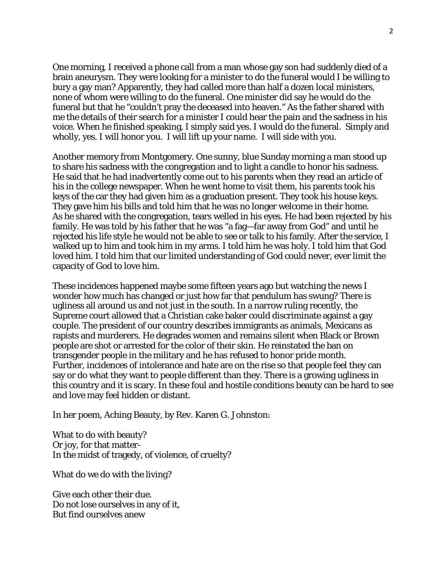One morning, I received a phone call from a man whose gay son had suddenly died of a brain aneurysm. They were looking for a minister to do the funeral would I be willing to bury a gay man? Apparently, they had called more than half a dozen local ministers, none of whom were willing to do the funeral. One minister did say he would do the funeral but that he "couldn't pray the deceased into heaven." As the father shared with me the details of their search for a minister I could hear the pain and the sadness in his voice. When he finished speaking, I simply said yes. I would do the funeral. Simply and wholly, yes. I will honor you. I will lift up your name. I will side with you.

Another memory from Montgomery. One sunny, blue Sunday morning a man stood up to share his sadness with the congregation and to light a candle to honor his sadness. He said that he had inadvertently come out to his parents when they read an article of his in the college newspaper. When he went home to visit them, his parents took his keys of the car they had given him as a graduation present. They took his house keys. They gave him his bills and told him that he was no longer welcome in their home. As he shared with the congregation, tears welled in his eyes. He had been rejected by his family. He was told by his father that he was "a fag—far away from God" and until he rejected his life style he would not be able to see or talk to his family. After the service, I walked up to him and took him in my arms. I told him he was holy. I told him that God loved him. I told him that our limited understanding of God could never, ever limit the capacity of God to love him.

These incidences happened maybe some fifteen years ago but watching the news I wonder how much has changed or just how far that pendulum has swung? There is ugliness all around us and not just in the south. In a narrow ruling recently, the Supreme court allowed that a Christian cake baker could discriminate against a gay couple. The president of our country describes immigrants as animals, Mexicans as rapists and murderers. He degrades women and remains silent when Black or Brown people are shot or arrested for the color of their skin. He reinstated the ban on transgender people in the military and he has refused to honor pride month. Further, incidences of intolerance and hate are on the rise so that people feel they can say or do what they want to people different than they. There is a growing ugliness in this country and it is scary. In these foul and hostile conditions beauty can be hard to see and love may feel hidden or distant.

In her poem, Aching Beauty, by Rev. Karen G. Johnston:

What to do with beauty? Or joy, for that matter-In the midst of tragedy, of violence, of cruelty?

What do we do with the living?

Give each other their due. Do not lose ourselves in any of it, But find ourselves anew